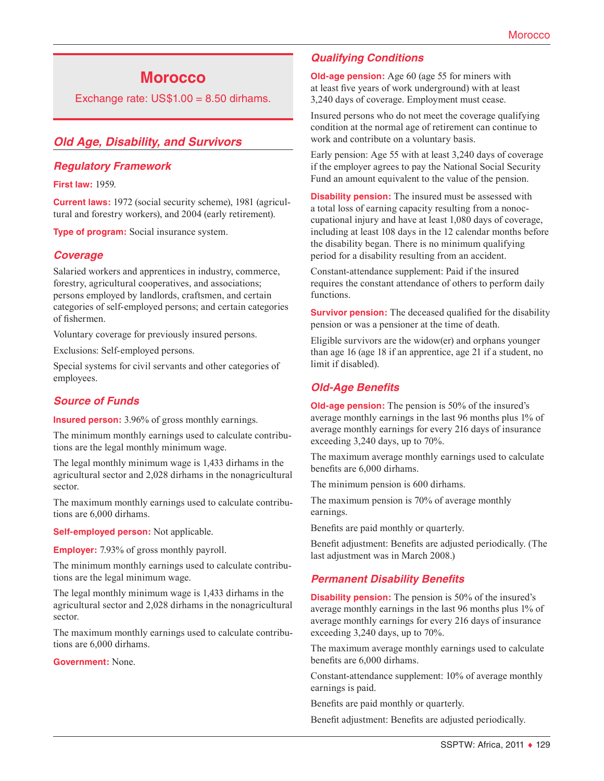# **Morocco**

Exchange rate:  $US$1.00 = 8.50$  dirhams.

## *Old Age, Disability, and Survivors*

#### *Regulatory Framework*

**First law:** 1959.

**Current laws:** 1972 (social security scheme), 1981 (agricultural and forestry workers), and 2004 (early retirement).

**Type of program:** Social insurance system.

#### *Coverage*

Salaried workers and apprentices in industry, commerce, forestry, agricultural cooperatives, and associations; persons employed by landlords, craftsmen, and certain categories of self-employed persons; and certain categories of fishermen.

Voluntary coverage for previously insured persons.

Exclusions: Self-employed persons.

Special systems for civil servants and other categories of employees.

## *Source of Funds*

**Insured person:** 3.96% of gross monthly earnings.

The minimum monthly earnings used to calculate contributions are the legal monthly minimum wage.

The legal monthly minimum wage is 1,433 dirhams in the agricultural sector and 2,028 dirhams in the nonagricultural sector.

The maximum monthly earnings used to calculate contributions are 6,000 dirhams.

**Self-employed person:** Not applicable.

**Employer:** 7.93% of gross monthly payroll.

The minimum monthly earnings used to calculate contributions are the legal minimum wage.

The legal monthly minimum wage is 1,433 dirhams in the agricultural sector and 2,028 dirhams in the nonagricultural sector.

The maximum monthly earnings used to calculate contributions are 6,000 dirhams.

**Government:** None.

## *Qualifying Conditions*

**Old-age pension:** Age 60 (age 55 for miners with at least five years of work underground) with at least 3,240 days of coverage. Employment must cease.

Insured persons who do not meet the coverage qualifying condition at the normal age of retirement can continue to work and contribute on a voluntary basis.

Early pension: Age 55 with at least 3,240 days of coverage if the employer agrees to pay the National Social Security Fund an amount equivalent to the value of the pension.

**Disability pension:** The insured must be assessed with a total loss of earning capacity resulting from a nonoccupational injury and have at least 1,080 days of coverage, including at least 108 days in the 12 calendar months before the disability began. There is no minimum qualifying period for a disability resulting from an accident.

Constant-attendance supplement: Paid if the insured requires the constant attendance of others to perform daily functions.

**Survivor pension:** The deceased qualified for the disability pension or was a pensioner at the time of death.

Eligible survivors are the widow(er) and orphans younger than age 16 (age 18 if an apprentice, age 21 if a student, no limit if disabled).

## *Old-Age Benefits*

**Old-age pension:** The pension is 50% of the insured's average monthly earnings in the last 96 months plus 1% of average monthly earnings for every 216 days of insurance exceeding 3,240 days, up to 70%.

The maximum average monthly earnings used to calculate benefits are 6,000 dirhams.

The minimum pension is 600 dirhams.

The maximum pension is 70% of average monthly earnings.

Benefits are paid monthly or quarterly.

Benefit adjustment: Benefits are adjusted periodically. (The last adjustment was in March 2008.)

#### *Permanent Disability Benefits*

**Disability pension:** The pension is 50% of the insured's average monthly earnings in the last 96 months plus 1% of average monthly earnings for every 216 days of insurance exceeding 3,240 days, up to 70%.

The maximum average monthly earnings used to calculate benefits are 6,000 dirhams.

Constant-attendance supplement: 10% of average monthly earnings is paid.

Benefits are paid monthly or quarterly.

Benefit adjustment: Benefits are adjusted periodically.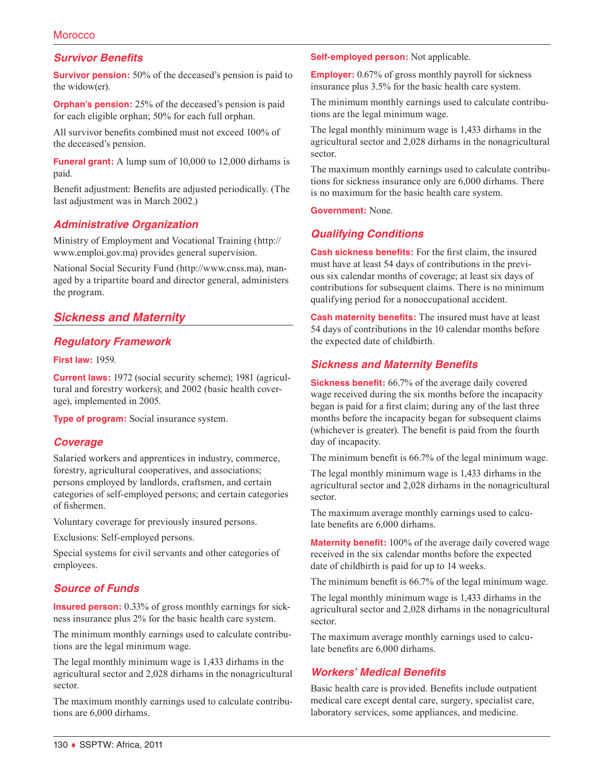#### **Morocco**

#### *Survivor Benefits*

**Survivor pension:** 50% of the deceased's pension is paid to the widow(er).

**Orphan's pension:** 25% of the deceased's pension is paid for each eligible orphan; 50% for each full orphan.

All survivor benefits combined must not exceed 100% of the deceased's pension.

**Funeral grant:** A lump sum of 10,000 to 12,000 dirhams is paid.

Benefit adjustment: Benefits are adjusted periodically. (The last adjustment was in March 2002.)

#### *Administrative Organization*

Ministry of Employment and Vocational Training ([http://](http://www.emploi.gov.ma) [www.emploi.gov.ma](http://www.emploi.gov.ma)) provides general supervision.

National Social Security Fund [\(http://www.cnss.ma\)](http://www.cnss.ma), managed by a tripartite board and director general, administers the program.

## *Sickness and Maternity*

#### *Regulatory Framework*

**First law:** 1959.

**Current laws:** 1972 (social security scheme); 1981 (agricultural and forestry workers); and 2002 (basic health coverage), implemented in 2005.

**Type of program:** Social insurance system.

#### *Coverage*

Salaried workers and apprentices in industry, commerce, forestry, agricultural cooperatives, and associations; persons employed by landlords, craftsmen, and certain categories of self-employed persons; and certain categories of fishermen.

Voluntary coverage for previously insured persons.

Exclusions: Self-employed persons.

Special systems for civil servants and other categories of employees.

#### *Source of Funds*

**Insured person:** 0.33% of gross monthly earnings for sickness insurance plus 2% for the basic health care system.

The minimum monthly earnings used to calculate contributions are the legal minimum wage.

The legal monthly minimum wage is 1,433 dirhams in the agricultural sector and 2,028 dirhams in the nonagricultural sector.

The maximum monthly earnings used to calculate contributions are 6,000 dirhams.

#### **Self-employed person:** Not applicable.

**Employer:** 0.67% of gross monthly payroll for sickness insurance plus 3.5% for the basic health care system.

The minimum monthly earnings used to calculate contributions are the legal minimum wage.

The legal monthly minimum wage is 1,433 dirhams in the agricultural sector and 2,028 dirhams in the nonagricultural sector.

The maximum monthly earnings used to calculate contributions for sickness insurance only are 6,000 dirhams. There is no maximum for the basic health care system.

**Government:** None.

## *Qualifying Conditions*

**Cash sickness benefits:** For the first claim, the insured must have at least 54 days of contributions in the previous six calendar months of coverage; at least six days of contributions for subsequent claims. There is no minimum qualifying period for a nonoccupational accident.

**Cash maternity benefits:** The insured must have at least 54 days of contributions in the 10 calendar months before the expected date of childbirth.

#### *Sickness and Maternity Benefits*

**Sickness benefit:** 66.7% of the average daily covered wage received during the six months before the incapacity began is paid for a first claim; during any of the last three months before the incapacity began for subsequent claims (whichever is greater). The benefit is paid from the fourth day of incapacity.

The minimum benefit is 66.7% of the legal minimum wage.

The legal monthly minimum wage is 1,433 dirhams in the agricultural sector and 2,028 dirhams in the nonagricultural sector.

The maximum average monthly earnings used to calculate benefits are 6,000 dirhams.

**Maternity benefit:** 100% of the average daily covered wage received in the six calendar months before the expected date of childbirth is paid for up to 14 weeks.

The minimum benefit is 66.7% of the legal minimum wage.

The legal monthly minimum wage is 1,433 dirhams in the agricultural sector and 2,028 dirhams in the nonagricultural sector.

The maximum average monthly earnings used to calculate benefits are 6,000 dirhams.

#### *Workers' Medical Benefits*

Basic health care is provided. Benefits include outpatient medical care except dental care, surgery, specialist care, laboratory services, some appliances, and medicine.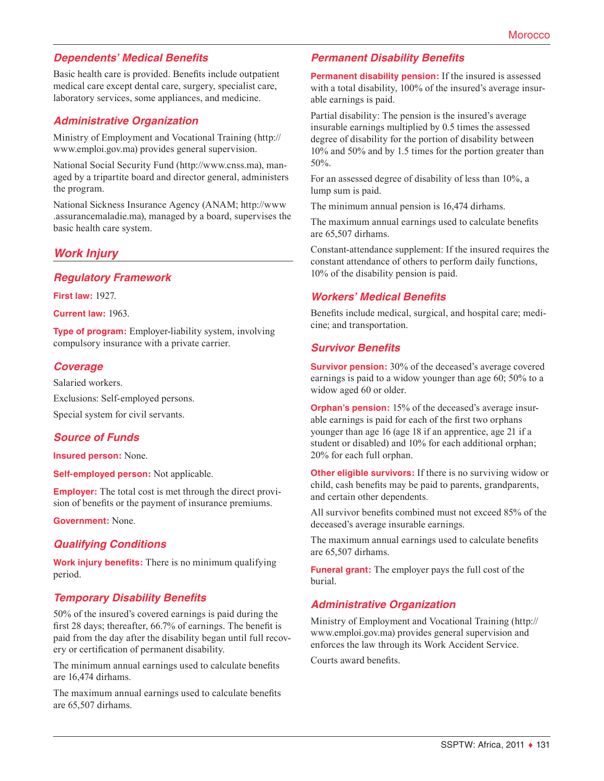## *Dependents' Medical Benefits*

Basic health care is provided. Benefits include outpatient medical care except dental care, surgery, specialist care, laboratory services, some appliances, and medicine.

#### *Administrative Organization*

Ministry of Employment and Vocational Training ([http://](http://www.emploi.gov.ma) [www.emploi.gov.ma](http://www.emploi.gov.ma)) provides general supervision.

National Social Security Fund [\(http://www.cnss.ma\)](http://www.cnss.ma), managed by a tripartite board and director general, administers the program.

National Sickness Insurance Agency (ANAM; [http://www](http://www.assurancemaladie.ma) [.assurancemaladie.ma\)](http://www.assurancemaladie.ma), managed by a board, supervises the basic health care system.

#### *Work Injury*

#### *Regulatory Framework*

**First law:** 1927.

**Current law:** 1963.

**Type of program:** Employer-liability system, involving compulsory insurance with a private carrier.

#### *Coverage*

Salaried workers.

Exclusions: Self-employed persons.

Special system for civil servants.

#### *Source of Funds*

**Insured person:** None.

**Self-employed person:** Not applicable.

**Employer:** The total cost is met through the direct provision of benefits or the payment of insurance premiums.

**Government:** None.

#### *Qualifying Conditions*

**Work injury benefits:** There is no minimum qualifying period.

#### *Temporary Disability Benefits*

50% of the insured's covered earnings is paid during the first 28 days; thereafter, 66.7% of earnings. The benefit is paid from the day after the disability began until full recovery or certification of permanent disability.

The minimum annual earnings used to calculate benefits are 16,474 dirhams.

The maximum annual earnings used to calculate benefits are 65,507 dirhams.

#### *Permanent Disability Benefits*

**Permanent disability pension:** If the insured is assessed with a total disability, 100% of the insured's average insurable earnings is paid.

Partial disability: The pension is the insured's average insurable earnings multiplied by 0.5 times the assessed degree of disability for the portion of disability between 10% and 50% and by 1.5 times for the portion greater than 50%.

For an assessed degree of disability of less than 10%, a lump sum is paid.

The minimum annual pension is 16,474 dirhams.

The maximum annual earnings used to calculate benefits are 65,507 dirhams.

Constant-attendance supplement: If the insured requires the constant attendance of others to perform daily functions, 10% of the disability pension is paid.

#### *Workers' Medical Benefits*

Benefits include medical, surgical, and hospital care; medicine; and transportation.

#### *Survivor Benefits*

**Survivor pension:** 30% of the deceased's average covered earnings is paid to a widow younger than age 60; 50% to a widow aged 60 or older.

**Orphan's pension:** 15% of the deceased's average insurable earnings is paid for each of the first two orphans younger than age 16 (age 18 if an apprentice, age 21 if a student or disabled) and 10% for each additional orphan; 20% for each full orphan.

**Other eligible survivors:** If there is no surviving widow or child, cash benefits may be paid to parents, grandparents, and certain other dependents.

All survivor benefits combined must not exceed 85% of the deceased's average insurable earnings.

The maximum annual earnings used to calculate benefits are 65,507 dirhams.

**Funeral grant:** The employer pays the full cost of the burial.

#### *Administrative Organization*

Ministry of Employment and Vocational Training ([http://](http://www.emploi.gov.ma) [www.emploi.gov.ma](http://www.emploi.gov.ma)) provides general supervision and enforces the law through its Work Accident Service. Courts award benefits.